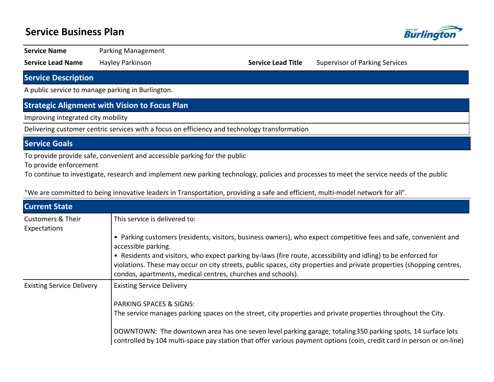## **Service Business Plan**



**Service Name** Parking Management

**Service Lead Name** Hayley Parkinson **Service Lead Title** Supervisor of Parking Services

**Service Description**

A public service to manage parking in Burlington.

### **Strategic Alignment with Vision to Focus Plan**

Improving integrated city mobility

Delivering customer centric services with a focus on efficiency and technology transformation

#### **Service Goals**

To provide provide safe, convenient and accessible parking for the public

To provide enforcement

To continue to investigate, research and implement new parking technology, policies and processes to meet the service needs of the public

"We are committed to being innovative leaders in Transportation, providing a safe and efficient, multi-model network for all".

| <b>Current State</b>                         |                                                                                                                                                                                                                                                                                                        |
|----------------------------------------------|--------------------------------------------------------------------------------------------------------------------------------------------------------------------------------------------------------------------------------------------------------------------------------------------------------|
| <b>Customers &amp; Their</b><br>Expectations | This service is delivered to:                                                                                                                                                                                                                                                                          |
|                                              | • Parking customers (residents, visitors, business owners), who expect competitive fees and safe, convenient and<br>accessible parking.                                                                                                                                                                |
|                                              | • Residents and visitors, who expect parking by-laws (fire route, accessibility and idling) to be enforced for<br>violations. These may occur on city streets, public spaces, city properties and private properties (shopping centres,<br>condos, apartments, medical centres, churches and schools). |
| <b>Existing Service Delivery</b>             | <b>Existing Service Delivery</b>                                                                                                                                                                                                                                                                       |
|                                              | <b>PARKING SPACES &amp; SIGNS:</b>                                                                                                                                                                                                                                                                     |
|                                              | The service manages parking spaces on the street, city properties and private properties throughout the City.                                                                                                                                                                                          |
|                                              | DOWNTOWN: The downtown area has one seven level parking garage; totaling 350 parking spots, 14 surface lots<br>controlled by 104 multi-space pay station that offer various payment options (coin, credit card in person or on-line)                                                                   |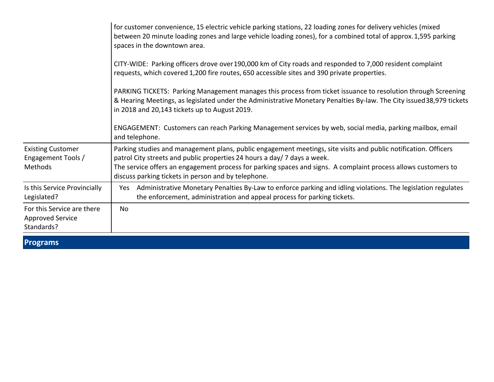|                                                                     | for customer convenience, 15 electric vehicle parking stations, 22 loading zones for delivery vehicles (mixed<br>between 20 minute loading zones and large vehicle loading zones), for a combined total of approx. 1,595 parking<br>spaces in the downtown area.                                                                                                    |
|---------------------------------------------------------------------|---------------------------------------------------------------------------------------------------------------------------------------------------------------------------------------------------------------------------------------------------------------------------------------------------------------------------------------------------------------------|
|                                                                     | CITY-WIDE: Parking officers drove over 190,000 km of City roads and responded to 7,000 resident complaint<br>requests, which covered 1,200 fire routes, 650 accessible sites and 390 private properties.                                                                                                                                                            |
|                                                                     | PARKING TICKETS: Parking Management manages this process from ticket issuance to resolution through Screening<br>& Hearing Meetings, as legislated under the Administrative Monetary Penalties By-law. The City issued 38,979 tickets<br>in 2018 and 20,143 tickets up to August 2019.                                                                              |
|                                                                     | ENGAGEMENT: Customers can reach Parking Management services by web, social media, parking mailbox, email<br>and telephone.                                                                                                                                                                                                                                          |
| <b>Existing Customer</b><br>Engagement Tools /<br>Methods           | Parking studies and management plans, public engagement meetings, site visits and public notification. Officers<br>patrol City streets and public properties 24 hours a day/7 days a week.<br>The service offers an engagement process for parking spaces and signs. A complaint process allows customers to<br>discuss parking tickets in person and by telephone. |
| Is this Service Provincially<br>Legislated?                         | Administrative Monetary Penalties By-Law to enforce parking and idling violations. The legislation regulates<br>Yes<br>the enforcement, administration and appeal process for parking tickets.                                                                                                                                                                      |
| For this Service are there<br><b>Approved Service</b><br>Standards? | <b>No</b>                                                                                                                                                                                                                                                                                                                                                           |

**Programs**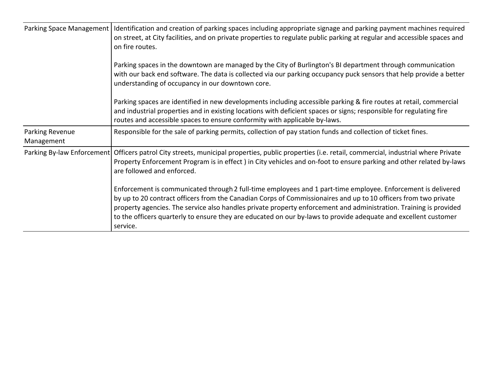|                               | Parking Space Management   Identification and creation of parking spaces including appropriate signage and parking payment machines required<br>on street, at City facilities, and on private properties to regulate public parking at regular and accessible spaces and<br>on fire routes.                                                                                                                                                                                         |  |  |  |  |
|-------------------------------|-------------------------------------------------------------------------------------------------------------------------------------------------------------------------------------------------------------------------------------------------------------------------------------------------------------------------------------------------------------------------------------------------------------------------------------------------------------------------------------|--|--|--|--|
|                               | Parking spaces in the downtown are managed by the City of Burlington's BI department through communication<br>with our back end software. The data is collected via our parking occupancy puck sensors that help provide a better<br>understanding of occupancy in our downtown core.                                                                                                                                                                                               |  |  |  |  |
|                               | Parking spaces are identified in new developments including accessible parking & fire routes at retail, commercial<br>and industrial properties and in existing locations with deficient spaces or signs; responsible for regulating fire<br>routes and accessible spaces to ensure conformity with applicable by-laws.                                                                                                                                                             |  |  |  |  |
| Parking Revenue<br>Management | Responsible for the sale of parking permits, collection of pay station funds and collection of ticket fines.                                                                                                                                                                                                                                                                                                                                                                        |  |  |  |  |
|                               | Parking By-law Enforcement   Officers patrol City streets, municipal properties, public properties (i.e. retail, commercial, industrial where Private<br>Property Enforcement Program is in effect) in City vehicles and on-foot to ensure parking and other related by-laws<br>are followed and enforced.                                                                                                                                                                          |  |  |  |  |
|                               | Enforcement is communicated through 2 full-time employees and 1 part-time employee. Enforcement is delivered<br>by up to 20 contract officers from the Canadian Corps of Commissionaires and up to 10 officers from two private<br>property agencies. The service also handles private property enforcement and administration. Training is provided<br>to the officers quarterly to ensure they are educated on our by-laws to provide adequate and excellent customer<br>service. |  |  |  |  |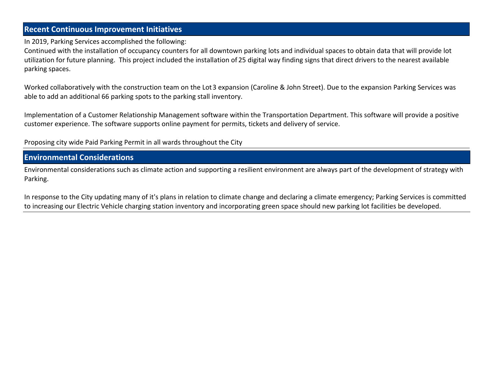## **Recent Continuous Improvement Initiatives**

In 2019, Parking Services accomplished the following:

Continued with the installation of occupancy counters for all downtown parking lots and individual spaces to obtain data that will provide lot utilization for future planning. This project included the installation of 25 digital way finding signs that direct drivers to the nearest available parking spaces.

Worked collaboratively with the construction team on the Lot 3 expansion (Caroline & John Street). Due to the expansion Parking Services was able to add an additional 66 parking spots to the parking stall inventory.

Implementation of a Customer Relationship Management software within the Transportation Department. This software will provide a positive customer experience. The software supports online payment for permits, tickets and delivery of service.

Proposing city wide Paid Parking Permit in all wards throughout the City

### **Environmental Considerations**

Environmental considerations such as climate action and supporting a resilient environment are always part of the development of strategy with Parking.

In response to the City updating many of it's plans in relation to climate change and declaring a climate emergency; Parking Services is committed to increasing our Electric Vehicle charging station inventory and incorporating green space should new parking lot facilities be developed.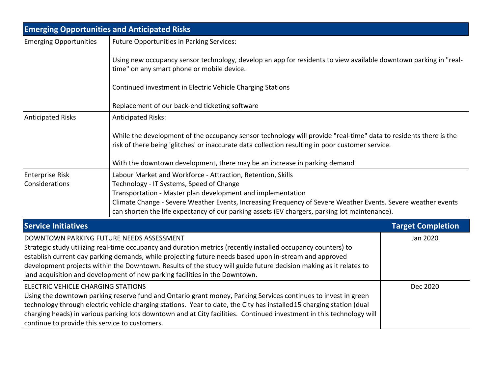| <b>Emerging Opportunities and Anticipated Risks</b>                                                                                                                                                                                                                                                                                                                                                                                                                     |                                                                                                                                                                                                                                                                                                                                                                                                                                                                      |                          |  |  |  |
|-------------------------------------------------------------------------------------------------------------------------------------------------------------------------------------------------------------------------------------------------------------------------------------------------------------------------------------------------------------------------------------------------------------------------------------------------------------------------|----------------------------------------------------------------------------------------------------------------------------------------------------------------------------------------------------------------------------------------------------------------------------------------------------------------------------------------------------------------------------------------------------------------------------------------------------------------------|--------------------------|--|--|--|
| <b>Emerging Opportunities</b>                                                                                                                                                                                                                                                                                                                                                                                                                                           | Future Opportunities in Parking Services:                                                                                                                                                                                                                                                                                                                                                                                                                            |                          |  |  |  |
|                                                                                                                                                                                                                                                                                                                                                                                                                                                                         | Using new occupancy sensor technology, develop an app for residents to view available downtown parking in "real-<br>time" on any smart phone or mobile device.                                                                                                                                                                                                                                                                                                       |                          |  |  |  |
|                                                                                                                                                                                                                                                                                                                                                                                                                                                                         | Continued investment in Electric Vehicle Charging Stations                                                                                                                                                                                                                                                                                                                                                                                                           |                          |  |  |  |
|                                                                                                                                                                                                                                                                                                                                                                                                                                                                         | Replacement of our back-end ticketing software                                                                                                                                                                                                                                                                                                                                                                                                                       |                          |  |  |  |
| <b>Anticipated Risks</b><br><b>Anticipated Risks:</b>                                                                                                                                                                                                                                                                                                                                                                                                                   |                                                                                                                                                                                                                                                                                                                                                                                                                                                                      |                          |  |  |  |
|                                                                                                                                                                                                                                                                                                                                                                                                                                                                         | While the development of the occupancy sensor technology will provide "real-time" data to residents there is the<br>risk of there being 'glitches' or inaccurate data collection resulting in poor customer service.                                                                                                                                                                                                                                                 |                          |  |  |  |
|                                                                                                                                                                                                                                                                                                                                                                                                                                                                         |                                                                                                                                                                                                                                                                                                                                                                                                                                                                      |                          |  |  |  |
| <b>Enterprise Risk</b><br>Considerations                                                                                                                                                                                                                                                                                                                                                                                                                                | With the downtown development, there may be an increase in parking demand<br>Labour Market and Workforce - Attraction, Retention, Skills<br>Technology - IT Systems, Speed of Change<br>Transportation - Master plan development and implementation<br>Climate Change - Severe Weather Events, Increasing Frequency of Severe Weather Events. Severe weather events<br>can shorten the life expectancy of our parking assets (EV chargers, parking lot maintenance). |                          |  |  |  |
| <b>Service Initiatives</b>                                                                                                                                                                                                                                                                                                                                                                                                                                              |                                                                                                                                                                                                                                                                                                                                                                                                                                                                      | <b>Target Completion</b> |  |  |  |
| DOWNTOWN PARKING FUTURE NEEDS ASSESSMENT<br>Strategic study utilizing real-time occupancy and duration metrics (recently installed occupancy counters) to<br>establish current day parking demands, while projecting future needs based upon in-stream and approved<br>development projects within the Downtown. Results of the study will guide future decision making as it relates to<br>land acquisition and development of new parking facilities in the Downtown. |                                                                                                                                                                                                                                                                                                                                                                                                                                                                      | Jan 2020                 |  |  |  |
| ELECTRIC VEHICLE CHARGING STATIONS                                                                                                                                                                                                                                                                                                                                                                                                                                      |                                                                                                                                                                                                                                                                                                                                                                                                                                                                      | Dec 2020                 |  |  |  |
| Using the downtown parking reserve fund and Ontario grant money, Parking Services continues to invest in green<br>technology through electric vehicle charging stations. Year to date, the City has installed 15 charging station (dual<br>charging heads) in various parking lots downtown and at City facilities. Continued investment in this technology will<br>continue to provide this service to customers.                                                      |                                                                                                                                                                                                                                                                                                                                                                                                                                                                      |                          |  |  |  |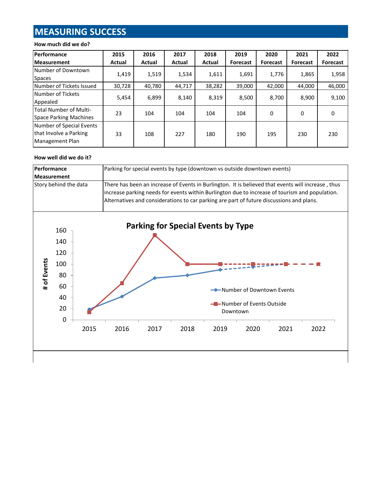# **MEASURING SUCCESS**

#### **How much did we do?**

| <b>Performance</b>            | 2015   | 2016   | 2017   | 2018   | 2019            | 2020            | 2021            | 2022            |
|-------------------------------|--------|--------|--------|--------|-----------------|-----------------|-----------------|-----------------|
| <b>Measurement</b>            | Actual | Actual | Actual | Actual | <b>Forecast</b> | <b>Forecast</b> | <b>Forecast</b> | <b>Forecast</b> |
| Number of Downtown            | 1,419  | 1,519  | 1,534  | 1,611  | 1,691           | 1,776           | 1,865           | 1,958           |
| <b>Spaces</b>                 |        |        |        |        |                 |                 |                 |                 |
| Number of Tickets Issued      | 30,728 | 40,780 | 44,717 | 38,282 | 39,000          | 42,000          | 44.000          | 46,000          |
| Number of Tickets             | 5,454  | 6,899  | 8,140  | 8,319  | 8,500           | 8,700           | 8,900           | 9,100           |
| Appealed                      |        |        |        |        |                 |                 |                 |                 |
| <b>Total Number of Multi-</b> | 23     | 104    | 104    | 104    | 104             | 0               | 0               | 0               |
| Space Parking Machines        |        |        |        |        |                 |                 |                 |                 |
| Number of Special Events      |        |        |        |        |                 |                 |                 |                 |
| that Involve a Parking        | 33     | 108    | 227    | 180    | 190             | 195             | 230             | 230             |
| Management Plan               |        |        |        |        |                 |                 |                 |                 |

#### **How well did we do it?**



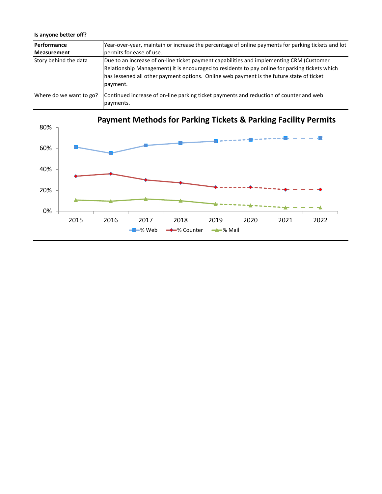#### **Is anyone better off?**

| Performance                                                                                                                    | Year-over-year, maintain or increase the percentage of online payments for parking tickets and lot                                                                                                                                                                                                                             |  |  |  |  |  |  |
|--------------------------------------------------------------------------------------------------------------------------------|--------------------------------------------------------------------------------------------------------------------------------------------------------------------------------------------------------------------------------------------------------------------------------------------------------------------------------|--|--|--|--|--|--|
| <b>Measurement</b>                                                                                                             | permits for ease of use.<br>Due to an increase of on-line ticket payment capabilities and implementing CRM (Customer<br>Relationship Management) it is encouraged to residents to pay online for parking tickets which<br>has lessened all other payment options. Online web payment is the future state of ticket<br>payment. |  |  |  |  |  |  |
| Story behind the data                                                                                                          |                                                                                                                                                                                                                                                                                                                                |  |  |  |  |  |  |
| Where do we want to go?<br>Continued increase of on-line parking ticket payments and reduction of counter and web<br>payments. |                                                                                                                                                                                                                                                                                                                                |  |  |  |  |  |  |
| 80%<br>60%<br>40%<br>20%<br>0%<br>2015                                                                                         | <b>Payment Methods for Parking Tickets &amp; Parking Facility Permits</b><br>2016<br>2017<br>2018<br>2019<br>2020<br>2021<br>2022                                                                                                                                                                                              |  |  |  |  |  |  |
|                                                                                                                                | → % Counter→<br>$\rightarrow\infty$ Mail<br>-% Web                                                                                                                                                                                                                                                                             |  |  |  |  |  |  |